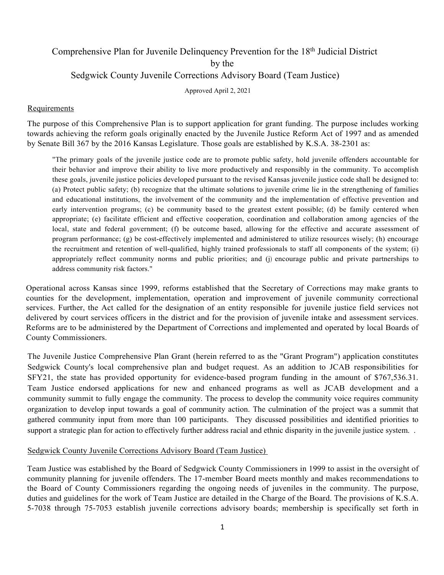## Comprehensive Plan for Juvenile Delinquency Prevention for the 18<sup>th</sup> Judicial District by the Sedgwick County Juvenile Corrections Advisory Board (Team Justice)

Approved April 2, 2021

### **Requirements**

The purpose of this Comprehensive Plan is to support application for grant funding. The purpose includes working towards achieving the reform goals originally enacted by the Juvenile Justice Reform Act of 1997 and as amended by Senate Bill 367 by the 2016 Kansas Legislature. Those goals are established by K.S.A. 38-2301 as:

"The primary goals of the juvenile justice code are to promote public safety, hold juvenile offenders accountable for their behavior and improve their ability to live more productively and responsibly in the community. To accomplish these goals, juvenile justice policies developed pursuant to the revised Kansas juvenile justice code shall be designed to: (a) Protect public safety; (b) recognize that the ultimate solutions to juvenile crime lie in the strengthening of families and educational institutions, the involvement of the community and the implementation of effective prevention and early intervention programs; (c) be community based to the greatest extent possible; (d) be family centered when appropriate; (e) facilitate efficient and effective cooperation, coordination and collaboration among agencies of the local, state and federal government; (f) be outcome based, allowing for the effective and accurate assessment of program performance; (g) be cost-effectively implemented and administered to utilize resources wisely; (h) encourage the recruitment and retention of well-qualified, highly trained professionals to staff all components of the system; (i) appropriately reflect community norms and public priorities; and (j) encourage public and private partnerships to address community risk factors."

Operational across Kansas since 1999, reforms established that the Secretary of Corrections may make grants to counties for the development, implementation, operation and improvement of juvenile community correctional services. Further, the Act called for the designation of an entity responsible for juvenile justice field services not delivered by court services officers in the district and for the provision of juvenile intake and assessment services. Reforms are to be administered by the Department of Corrections and implemented and operated by local Boards of County Commissioners.

The Juvenile Justice Comprehensive Plan Grant (herein referred to as the "Grant Program") application constitutes Sedgwick County's local comprehensive plan and budget request. As an addition to JCAB responsibilities for SFY21, the state has provided opportunity for evidence-based program funding in the amount of \$767,536.31. Team Justice endorsed applications for new and enhanced programs as well as JCAB development and a community summit to fully engage the community. The process to develop the community voice requires community organization to develop input towards a goal of community action. The culmination of the project was a summit that gathered community input from more than 100 participants. They discussed possibilities and identified priorities to support a strategic plan for action to effectively further address racial and ethnic disparity in the juvenile justice system. .

### Sedgwick County Juvenile Corrections Advisory Board (Team Justice)

Team Justice was established by the Board of Sedgwick County Commissioners in 1999 to assist in the oversight of community planning for juvenile offenders. The 17-member Board meets monthly and makes recommendations to the Board of County Commissioners regarding the ongoing needs of juveniles in the community. The purpose, duties and guidelines for the work of Team Justice are detailed in the Charge of the Board. The provisions of K.S.A. 5-7038 through 75-7053 establish juvenile corrections advisory boards; membership is specifically set forth in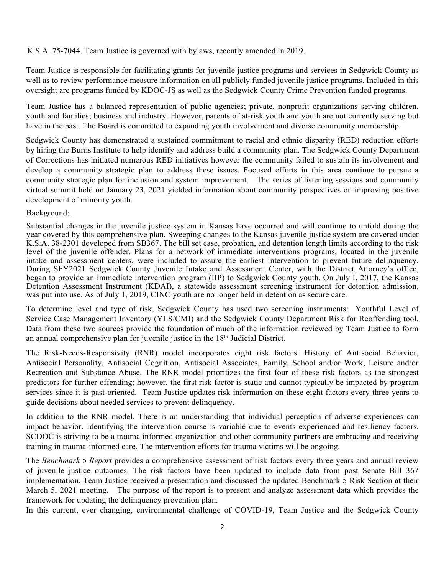K.S.A. 75-7044. Team Justice is governed with bylaws, recently amended in 2019.

Team Justice is responsible for facilitating grants for juvenile justice programs and services in Sedgwick County as well as to review performance measure information on all publicly funded juvenile justice programs. Included in this oversight are programs funded by KDOC-JS as well as the Sedgwick County Crime Prevention funded programs.

Team Justice has a balanced representation of public agencies; private, nonprofit organizations serving children, youth and families; business and industry. However, parents of at-risk youth and youth are not currently serving but have in the past. The Board is committed to expanding youth involvement and diverse community membership.

Sedgwick County has demonstrated a sustained commitment to racial and ethnic disparity (RED) reduction efforts by hiring the Burns Institute to help identify and address build a community plan. The Sedgwick County Department of Corrections has initiated numerous RED initiatives however the community failed to sustain its involvement and develop a community strategic plan to address these issues. Focused efforts in this area continue to pursue a community strategic plan for inclusion and system improvement. The series of listening sessions and community virtual summit held on January 23, 2021 yielded information about community perspectives on improving positive development of minority youth.

### Background:

Substantial changes in the juvenile justice system in Kansas have occurred and will continue to unfold during the year covered by this comprehensive plan. Sweeping changes to the Kansas juvenile justice system are covered under K.S.A. 38-2301 developed from SB367. The bill set case, probation, and detention length limits according to the risk level of the juvenile offender. Plans for a network of immediate interventions programs, located in the juvenile intake and assessment centers, were included to assure the earliest intervention to prevent future delinquency. During SFY2021 Sedgwick County Juvenile Intake and Assessment Center, with the District Attorney's office, began to provide an immediate intervention program (IIP) to Sedgwick County youth. On July I, 2017, the Kansas Detention Assessment Instrument (KDAI), a statewide assessment screening instrument for detention admission, was put into use. As of July 1, 2019, CINC youth are no longer held in detention as secure care.

To determine level and type of risk, Sedgwick County has used two screening instruments: Youthful Level of Service Case Management Inventory (YLS/CMI) and the Sedgwick County Department Risk for Reoffending tool. Data from these two sources provide the foundation of much of the information reviewed by Team Justice to form an annual comprehensive plan for juvenile justice in the 18th Judicial District.

The Risk-Needs-Responsivity (RNR) model incorporates eight risk factors: History of Antisocial Behavior, Antisocial Personality, Antisocial Cognition, Antisocial Associates, Family, School and/or Work, Leisure and/or Recreation and Substance Abuse. The RNR model prioritizes the first four of these risk factors as the strongest predictors for further offending; however, the first risk factor is static and cannot typically be impacted by program services since it is past-oriented. Team Justice updates risk information on these eight factors every three years to guide decisions about needed services to prevent delinquency.

In addition to the RNR model. There is an understanding that individual perception of adverse experiences can impact behavior. Identifying the intervention course is variable due to events experienced and resiliency factors. SCDOC is striving to be a trauma informed organization and other community partners are embracing and receiving training in trauma-informed care. The intervention efforts for trauma victims will be ongoing.

The *Benchmark* 5 *Report* provides a comprehensive assessment of risk factors every three years and annual review of juvenile justice outcomes. The risk factors have been updated to include data from post Senate Bill 367 implementation. Team Justice received a presentation and discussed the updated Benchmark 5 Risk Section at their March 5, 2021 meeting. The purpose of the report is to present and analyze assessment data which provides the framework for updating the delinquency prevention plan.

In this current, ever changing, environmental challenge of COVID-19, Team Justice and the Sedgwick County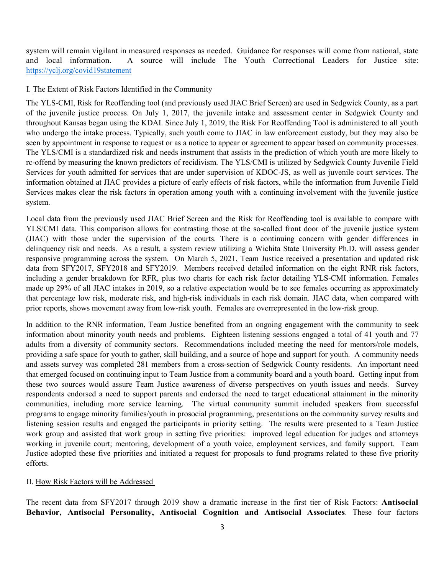system will remain vigilant in measured responses as needed. Guidance for responses will come from national, state and local information. A source will include The Youth Correctional Leaders for Justice site: <https://yclj.org/covid19statement>

### I. The Extent of Risk Factors Identified in the Community

The YLS-CMI, Risk for Reoffending tool (and previously used JIAC Brief Screen) are used in Sedgwick County, as a part of the juvenile justice process. On July 1, 2017, the juvenile intake and assessment center in Sedgwick County and throughout Kansas began using the KDAI. Since July 1, 2019, the Risk For Reoffending Tool is administered to all youth who undergo the intake process. Typically, such youth come to JIAC in law enforcement custody, but they may also be seen by appointment in response to request or as a notice to appear or agreement to appear based on community processes. The YLS/CMI is a standardized risk and needs instrument that assists in the prediction of which youth are more likely to rc-offend by measuring the known predictors of recidivism. The YLS/CMI is utilized by Sedgwick County Juvenile Field Services for youth admitted for services that are under supervision of KDOC-JS, as well as juvenile court services. The information obtained at JIAC provides a picture of early effects of risk factors, while the information from Juvenile Field Services makes clear the risk factors in operation among youth with a continuing involvement with the juvenile justice system.

Local data from the previously used JIAC Brief Screen and the Risk for Reoffending tool is available to compare with YLS/CMI data. This comparison allows for contrasting those at the so-called front door of the juvenile justice system (JIAC) with those under the supervision of the courts. There is a continuing concern with gender differences in delinquency risk and needs. As a result, a system review utilizing a Wichita State University Ph.D. will assess gender responsive programming across the system. On March 5, 2021, Team Justice received a presentation and updated risk data from SFY2017, SFY2018 and SFY2019. Members received detailed information on the eight RNR risk factors, including a gender breakdown for RFR, plus two charts for each risk factor detailing YLS-CMI information. Females made up 29% of all JIAC intakes in 2019, so a relative expectation would be to see females occurring as approximately that percentage low risk, moderate risk, and high-risk individuals in each risk domain. JIAC data, when compared with prior reports, shows movement away from low-risk youth. Females are overrepresented in the low-risk group.

In addition to the RNR information, Team Justice benefited from an ongoing engagement with the community to seek information about minority youth needs and problems. Eighteen listening sessions engaged a total of 41 youth and 77 adults from a diversity of community sectors. Recommendations included meeting the need for mentors/role models, providing a safe space for youth to gather, skill building, and a source of hope and support for youth. A community needs and assets survey was completed 281 members from a cross-section of Sedgwick County residents. An important need that emerged focused on continuing input to Team Justice from a community board and a youth board. Getting input from these two sources would assure Team Justice awareness of diverse perspectives on youth issues and needs. Survey respondents endorsed a need to support parents and endorsed the need to target educational attainment in the minority communities, including more service learning. The virtual community summit included speakers from successful programs to engage minority families/youth in prosocial programming, presentations on the community survey results and listening session results and engaged the participants in priority setting. The results were presented to a Team Justice work group and assisted that work group in setting five priorities: improved legal education for judges and attorneys working in juvenile court; mentoring, development of a youth voice, employment services, and family support. Team Justice adopted these five priorities and initiated a request for proposals to fund programs related to these five priority efforts.

### II. How Risk Factors will be Addressed

The recent data from SFY2017 through 2019 show a dramatic increase in the first tier of Risk Factors: **Antisocial Behavior, Antisocial Personality, Antisocial Cognition and Antisocial Associates**. These four factors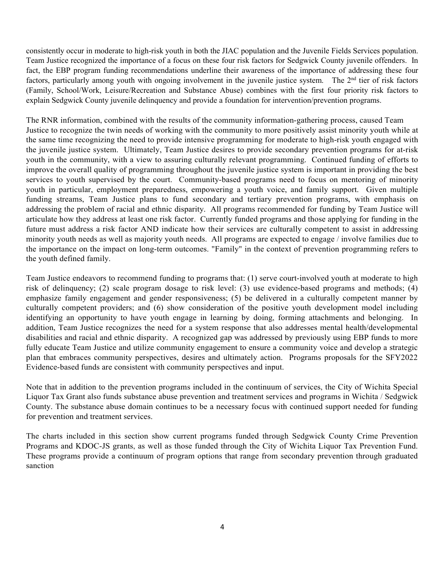consistently occur in moderate to high-risk youth in both the JIAC population and the Juvenile Fields Services population. Team Justice recognized the importance of a focus on these four risk factors for Sedgwick County juvenile offenders. In fact, the EBP program funding recommendations underline their awareness of the importance of addressing these four factors, particularly among youth with ongoing involvement in the juvenile justice system. The  $2<sup>nd</sup>$  tier of risk factors (Family, School/Work, Leisure/Recreation and Substance Abuse) combines with the first four priority risk factors to explain Sedgwick County juvenile delinquency and provide a foundation for intervention/prevention programs.

The RNR information, combined with the results of the community information-gathering process, caused Team Justice to recognize the twin needs of working with the community to more positively assist minority youth while at the same time recognizing the need to provide intensive programming for moderate to high-risk youth engaged with the juvenile justice system. Ultimately, Team Justice desires to provide secondary prevention programs for at-risk youth in the community, with a view to assuring culturally relevant programming. Continued funding of efforts to improve the overall quality of programming throughout the juvenile justice system is important in providing the best services to youth supervised by the court. Community-based programs need to focus on mentoring of minority youth in particular, employment preparedness, empowering a youth voice, and family support. Given multiple funding streams, Team Justice plans to fund secondary and tertiary prevention programs, with emphasis on addressing the problem of racial and ethnic disparity. All programs recommended for funding by Team Justice will articulate how they address at least one risk factor. Currently funded programs and those applying for funding in the future must address a risk factor AND indicate how their services are culturally competent to assist in addressing minority youth needs as well as majority youth needs. All programs are expected to engage / involve families due to the importance on the impact on long-term outcomes. "Family" in the context of prevention programming refers to the youth defined family.

Team Justice endeavors to recommend funding to programs that: (1) serve court-involved youth at moderate to high risk of delinquency; (2) scale program dosage to risk level: (3) use evidence-based programs and methods; (4) emphasize family engagement and gender responsiveness; (5) be delivered in a culturally competent manner by culturally competent providers; and (6) show consideration of the positive youth development model including identifying an opportunity to have youth engage in learning by doing, forming attachments and belonging. In addition, Team Justice recognizes the need for a system response that also addresses mental health/developmental disabilities and racial and ethnic disparity. A recognized gap was addressed by previously using EBP funds to more fully educate Team Justice and utilize community engagement to ensure a community voice and develop a strategic plan that embraces community perspectives, desires and ultimately action. Programs proposals for the SFY2022 Evidence-based funds are consistent with community perspectives and input.

Note that in addition to the prevention programs included in the continuum of services, the City of Wichita Special Liquor Tax Grant also funds substance abuse prevention and treatment services and programs in Wichita / Sedgwick County. The substance abuse domain continues to be a necessary focus with continued support needed for funding for prevention and treatment services.

The charts included in this section show current programs funded through Sedgwick County Crime Prevention Programs and KDOC-JS grants, as well as those funded through the City of Wichita Liquor Tax Prevention Fund. These programs provide a continuum of program options that range from secondary prevention through graduated sanction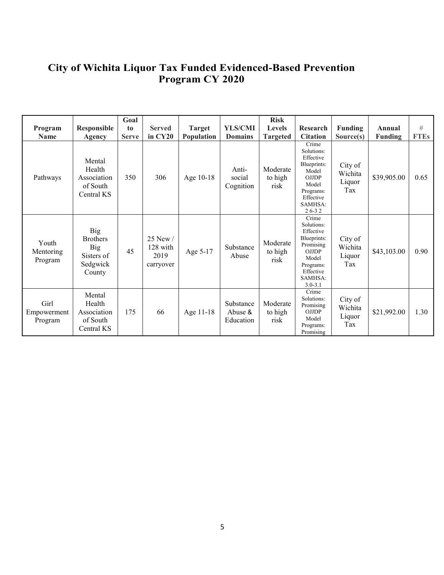### **City of Wichita Liquor Tax Funded Evidenced-Based Prevention Program CY 2020**

| Program<br><b>Name</b>         | Responsible<br>Agency                                                           | Goal<br>to<br><b>Serve</b> | <b>Served</b><br>in CY20                  | <b>Target</b><br>Population | <b>YLS/CMI</b><br><b>Domains</b>  | <b>Risk</b><br><b>Levels</b><br><b>Targeted</b> | Research<br><b>Citation</b>                                                                                                               | <b>Funding</b><br>Source(s)         | Annual<br><b>Funding</b> | #<br><b>FTEs</b> |
|--------------------------------|---------------------------------------------------------------------------------|----------------------------|-------------------------------------------|-----------------------------|-----------------------------------|-------------------------------------------------|-------------------------------------------------------------------------------------------------------------------------------------------|-------------------------------------|--------------------------|------------------|
| Pathways                       | Mental<br>Health<br>Association<br>of South<br>Central KS                       | 350                        | 306                                       | Age 10-18                   | Anti-<br>social<br>Cognition      | Moderate<br>to high<br>risk                     | Crime<br>Solutions:<br>Effective<br>Blueprints:<br>Model<br><b>OJJDP</b><br>Model<br>Programs:<br>Effective<br>SAMHSA:<br>$26 - 32$       | City of<br>Wichita<br>Liquor<br>Tax | \$39,905.00              | 0.65             |
| Youth<br>Mentoring<br>Program  | <b>Big</b><br><b>Brothers</b><br><b>Big</b><br>Sisters of<br>Sedgwick<br>County | 45                         | 25 New /<br>128 with<br>2019<br>carryover | Age 5-17                    | Substance<br>Abuse                | Moderate<br>to high<br>risk                     | Crime<br>Solutions:<br>Effective<br>Blueprints:<br>Promising<br><b>OJJDP</b><br>Model<br>Programs:<br>Effective<br>SAMHSA:<br>$3.0 - 3.1$ | City of<br>Wichita<br>Liquor<br>Tax | \$43,103.00              | 0.90             |
| Girl<br>Empowerment<br>Program | Mental<br>Health<br>Association<br>of South<br>Central KS                       | 175                        | 66                                        | Age 11-18                   | Substance<br>Abuse &<br>Education | Moderate<br>to high<br>risk                     | Crime<br>Solutions:<br>Promising<br><b>OJJDP</b><br>Model<br>Programs:<br>Promising                                                       | City of<br>Wichita<br>Liquor<br>Tax | \$21,992.00              | 1.30             |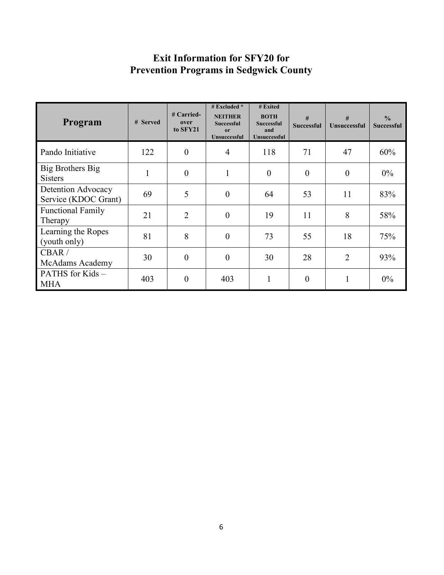## **Exit Information for SFY20 for Prevention Programs in Sedgwick County**

| Program                                    | # Served     | $#$ Carried-<br>over<br>to SFY21 | # Excluded $*$<br><b>NEITHER</b><br><b>Successful</b><br>0r<br>Unsuccessful | # Exited<br><b>BOTH</b><br><b>Successful</b><br>and<br><b>Unsuccessful</b> | #<br><b>Successful</b> | #<br><b>Unsuccessful</b> | $\frac{0}{0}$<br><b>Successful</b> |
|--------------------------------------------|--------------|----------------------------------|-----------------------------------------------------------------------------|----------------------------------------------------------------------------|------------------------|--------------------------|------------------------------------|
| Pando Initiative                           | 122          | $\boldsymbol{0}$                 | $\overline{4}$                                                              | 118                                                                        | 71                     | 47                       | 60%                                |
| Big Brothers Big<br><b>Sisters</b>         | $\mathbf{1}$ | $\overline{0}$                   | 1                                                                           | $\overline{0}$                                                             | $\theta$               | $\theta$                 | $0\%$                              |
| Detention Advocacy<br>Service (KDOC Grant) | 69           | 5                                | $\overline{0}$                                                              | 64                                                                         | 53                     | 11                       | 83%                                |
| <b>Functional Family</b><br>Therapy        | 21           | $\overline{2}$                   | $\overline{0}$                                                              | 19                                                                         | 11                     | 8                        | 58%                                |
| Learning the Ropes<br>(youth only)         | 81           | 8                                | $\overline{0}$                                                              | 73                                                                         | 55                     | 18                       | 75%                                |
| CBAR/<br>McAdams Academy                   | 30           | $\boldsymbol{0}$                 | $\overline{0}$                                                              | 30                                                                         | 28                     | $\overline{2}$           | 93%                                |
| PATHS for Kids $-$<br><b>MHA</b>           | 403          | $\overline{0}$                   | 403                                                                         |                                                                            | $\overline{0}$         |                          | $0\%$                              |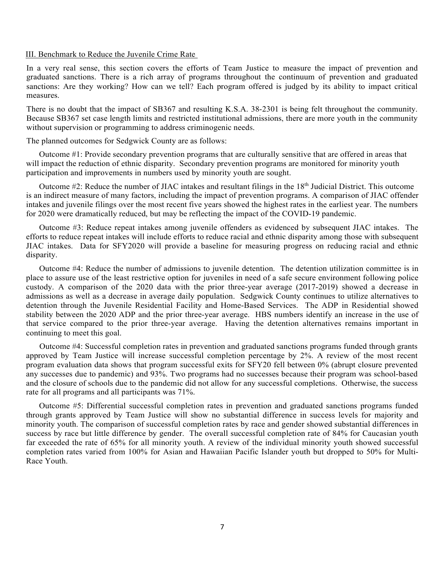#### III. Benchmark to Reduce the Juvenile Crime Rate

In a very real sense, this section covers the efforts of Team Justice to measure the impact of prevention and graduated sanctions. There is a rich array of programs throughout the continuum of prevention and graduated sanctions: Are they working? How can we tell? Each program offered is judged by its ability to impact critical measures.

There is no doubt that the impact of SB367 and resulting K.S.A. 38-2301 is being felt throughout the community. Because SB367 set case length limits and restricted institutional admissions, there are more youth in the community without supervision or programming to address criminogenic needs.

The planned outcomes for Sedgwick County are as follows:

Outcome #1: Provide secondary prevention programs that are culturally sensitive that are offered in areas that will impact the reduction of ethnic disparity. Secondary prevention programs are monitored for minority youth participation and improvements in numbers used by minority youth are sought.

Outcome  $#2$ : Reduce the number of JIAC intakes and resultant filings in the  $18<sup>th</sup>$  Judicial District. This outcome is an indirect measure of many factors, including the impact of prevention programs. A comparison of JIAC offender intakes and juvenile filings over the most recent five years showed the highest rates in the earliest year. The numbers for 2020 were dramatically reduced, but may be reflecting the impact of the COVID-19 pandemic.

Outcome #3: Reduce repeat intakes among juvenile offenders as evidenced by subsequent JIAC intakes. The efforts to reduce repeat intakes will include efforts to reduce racial and ethnic disparity among those with subsequent JIAC intakes. Data for SFY2020 will provide a baseline for measuring progress on reducing racial and ethnic disparity.

Outcome #4: Reduce the number of admissions to juvenile detention. The detention utilization committee is in place to assure use of the least restrictive option for juveniles in need of a safe secure environment following police custody. A comparison of the 2020 data with the prior three-year average (2017-2019) showed a decrease in admissions as well as a decrease in average daily population. Sedgwick County continues to utilize alternatives to detention through the Juvenile Residential Facility and Home-Based Services. The ADP in Residential showed stability between the 2020 ADP and the prior three-year average. HBS numbers identify an increase in the use of that service compared to the prior three-year average. Having the detention alternatives remains important in continuing to meet this goal.

Outcome #4: Successful completion rates in prevention and graduated sanctions programs funded through grants approved by Team Justice will increase successful completion percentage by 2%. A review of the most recent program evaluation data shows that program successful exits for SFY20 fell between 0% (abrupt closure prevented any successes due to pandemic) and 93%. Two programs had no successes because their program was school-based and the closure of schools due to the pandemic did not allow for any successful completions. Otherwise, the success rate for all programs and all participants was 71%.

Outcome #5: Differential successful completion rates in prevention and graduated sanctions programs funded through grants approved by Team Justice will show no substantial difference in success levels for majority and minority youth. The comparison of successful completion rates by race and gender showed substantial differences in success by race but little difference by gender. The overall successful completion rate of 84% for Caucasian youth far exceeded the rate of 65% for all minority youth. A review of the individual minority youth showed successful completion rates varied from 100% for Asian and Hawaiian Pacific Islander youth but dropped to 50% for Multi-Race Youth.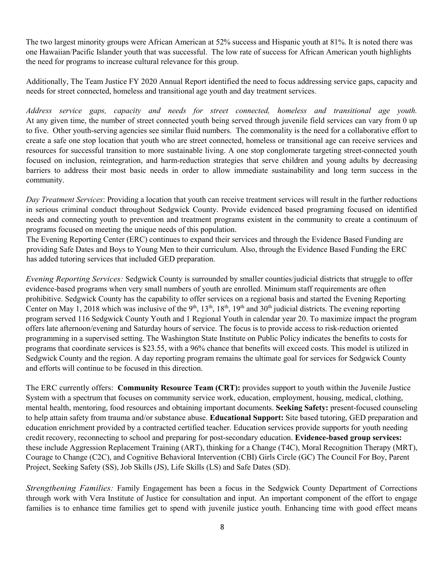The two largest minority groups were African American at 52% success and Hispanic youth at 81%. It is noted there was one Hawaiian/Pacific Islander youth that was successful. The low rate of success for African American youth highlights the need for programs to increase cultural relevance for this group.

Additionally, The Team Justice FY 2020 Annual Report identified the need to focus addressing service gaps, capacity and needs for street connected, homeless and transitional age youth and day treatment services.

*Address service gaps, capacity and needs for street connected, homeless and transitional age youth.*  At any given time, the number of street connected youth being served through juvenile field services can vary from 0 up to five. Other youth-serving agencies see similar fluid numbers. The commonality is the need for a collaborative effort to create a safe one stop location that youth who are street connected, homeless or transitional age can receive services and resources for successful transition to more sustainable living. A one stop conglomerate targeting street-connected youth focused on inclusion, reintegration, and harm-reduction strategies that serve children and young adults by decreasing barriers to address their most basic needs in order to allow immediate sustainability and long term success in the community.

*Day Treatment Services*: Providing a location that youth can receive treatment services will result in the further reductions in serious criminal conduct throughout Sedgwick County. Provide evidenced based programing focused on identified needs and connecting youth to prevention and treatment programs existent in the community to create a continuum of programs focused on meeting the unique needs of this population.

The Evening Reporting Center (ERC) continues to expand their services and through the Evidence Based Funding are providing Safe Dates and Boys to Young Men to their curriculum. Also, through the Evidence Based Funding the ERC has added tutoring services that included GED preparation.

*Evening Reporting Services:* Sedgwick County is surrounded by smaller counties/judicial districts that struggle to offer evidence-based programs when very small numbers of youth are enrolled. Minimum staff requirements are often prohibitive. Sedgwick County has the capability to offer services on a regional basis and started the Evening Reporting Center on May 1, 2018 which was inclusive of the  $9<sup>th</sup>$ , 13<sup>th</sup>, 18<sup>th</sup>, 19<sup>th</sup> and 30<sup>th</sup> judicial districts. The evening reporting program served 116 Sedgwick County Youth and 1 Regional Youth in calendar year 20. To maximize impact the program offers late afternoon/evening and Saturday hours of service. The focus is to provide access to risk-reduction oriented programming in a supervised setting. The Washington State Institute on Public Policy indicates the benefits to costs for programs that coordinate services is \$23.55, with a 96% chance that benefits will exceed costs. This model is utilized in Sedgwick County and the region. A day reporting program remains the ultimate goal for services for Sedgwick County and efforts will continue to be focused in this direction.

The ERC currently offers: **Community Resource Team (CRT):** provides support to youth within the Juvenile Justice System with a spectrum that focuses on community service work, education, employment, housing, medical, clothing, mental health, mentoring, food resources and obtaining important documents. **Seeking Safety:** present-focused counseling to help attain safety from trauma and/or substance abuse. **Educational Support:** Site based tutoring, GED preparation and education enrichment provided by a contracted certified teacher. Education services provide supports for youth needing credit recovery, reconnecting to school and preparing for post-secondary education. **Evidence-based group services:** these include Aggression Replacement Training (ART), thinking for a Change (T4C), Moral Recognition Therapy (MRT), Courage to Change (C2C), and Cognitive Behavioral Intervention (CBI) Girls Circle (GC) The Council For Boy, Parent Project, Seeking Safety (SS), Job Skills (JS), Life Skills (LS) and Safe Dates (SD).

*Strengthening Families:* Family Engagement has been a focus in the Sedgwick County Department of Corrections through work with Vera Institute of Justice for consultation and input. An important component of the effort to engage families is to enhance time families get to spend with juvenile justice youth. Enhancing time with good effect means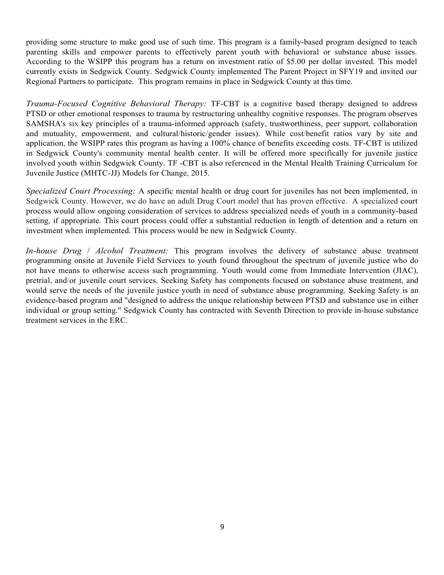providing some structure to make good use of such time. This program is a family-based program designed to teach parenting skills and empower parents to effectively parent youth with behavioral or substance abuse issues. According to the WSIPP this program has a return on investment ratio of \$5.00 per dollar invested. This model currently exists in Sedgwick County. Sedgwick County implemented The Parent Project in SFY19 and invited our Regional Partners to participate. This program remains in place in Sedgwick County at this time.

*Trauma-Focused Cognitive Behavioral Therapy:* TF-CBT is a cognitive based therapy designed to address PTSD or other emotional responses to trauma by restructuring unhealthy cognitive responses. The program observes SAMSHA's SIX key principles of a trauma-informed approach (safety, trustworthiness, peer support, collaboration and mutuality, empowerment, and cultural/historic/gender issues). While cost/benefit ratios vary by site and application, the WSIPP rates this program as having a 100% chance of benefits exceeding costs. TF-CBT is utilized in Sedgwick County's community mental health center. It will be offered more specifically for juvenile justice involved youth within Sedgwick County. TF -CBT is also referenced in the Mental Health Training Curriculum for Juvenile Justice (MHTC-JJ) Models for Change, 2015.

*Specialized Court Processing:* A specific mental health or drug court for juveniles has not been implemented, in Sedgwick County. However, we do have an adult Drug Court model that has proven effective. A specialized court process would allow ongoing consideration of services to address specialized needs of youth in a community-based setting, if appropriate. This court process could offer a substantial reduction in length of detention and a return on investment when implemented. This process would be new in Sedgwick County.

*In-house Drug* / *Alcohol Treatment:* This program involves the delivery of substance abuse treatment programming onsite at Juvenile Field Services to youth found throughout the spectrum of juvenile justice who do not have means to otherwise access such programming. Youth would come from Immediate Intervention (JIAC), pretrial, and/or juvenile court services. Seeking Safety has components focused on substance abuse treatment, and would serve the needs of the juvenile justice youth in need of substance abuse programming. Seeking Safety is an evidence-based program and "designed to address the unique relationship between PTSD and substance use in either individual or group setting." Sedgwick County has contracted with Seventh Direction to provide in-house substance treatment services in the ERC.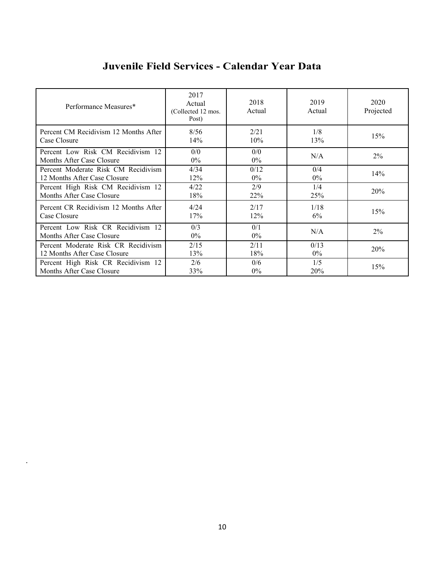## **Juvenile Field Services - Calendar Year Data**

| Performance Measures*                                          | 2017<br>Actual<br>(Collected 12 mos.<br>Post) | 2018<br>Actual | 2019<br>Actual | 2020<br>Projected |
|----------------------------------------------------------------|-----------------------------------------------|----------------|----------------|-------------------|
| Percent CM Recidivism 12 Months After                          | 8/56                                          | 2/21           | 1/8            | 15%               |
| Case Closure                                                   | 14%                                           | 10%            | 13%            |                   |
| Percent Low Risk CM Recidivism 12<br>Months After Case Closure | 0/0<br>$0\%$                                  | 0/0<br>$0\%$   | N/A            | $2\%$             |
| Percent Moderate Risk CM Recidivism                            | 4/34                                          | 0/12           | 0/4            | 14%               |
| 12 Months After Case Closure                                   | 12%                                           | $0\%$          | $0\%$          |                   |
| Percent High Risk CM Recidivism 12                             | 4/22                                          | 2/9            | 1/4            | 20%               |
| Months After Case Closure                                      | 18%                                           | 22%            | 25%            |                   |
| Percent CR Recidivism 12 Months After                          | 4/24                                          | 2/17           | 1/18           | 15%               |
| Case Closure                                                   | 17%                                           | 12%            | 6%             |                   |
| Percent Low Risk CR Recidivism 12<br>Months After Case Closure | 0/3<br>$0\%$                                  | 0/1<br>$0\%$   | N/A            | $2\%$             |
| Percent Moderate Risk CR Recidivism                            | 2/15                                          | 2/11           | 0/13           | 20%               |
| 12 Months After Case Closure                                   | 13%                                           | 18%            | $0\%$          |                   |
| Percent High Risk CR Recidivism 12                             | 2/6                                           | 0/6            | 1/5            | 15%               |
| Months After Case Closure                                      | 33%                                           | $0\%$          | <b>20%</b>     |                   |

.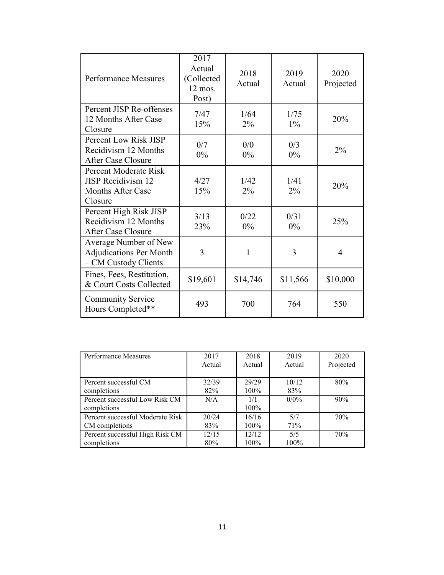| <b>Performance Measures</b>                                                               | 2017<br>Actual<br>(Collected<br>$12$ mos.<br>Post) | 2018<br>Actual | 2019<br>Actual | 2020<br>Projected |
|-------------------------------------------------------------------------------------------|----------------------------------------------------|----------------|----------------|-------------------|
| Percent JISP Re-offenses<br>12 Months After Case<br>Closure                               | 7/47<br>15%                                        | 1/64<br>2%     | 1/75<br>$1\%$  | 20%               |
| Percent Low Risk JISP<br>Recidivism 12 Months<br>After Case Closure                       | 0/7<br>$0\%$                                       | 0/0<br>$0\%$   | 0/3<br>$0\%$   | $2\%$             |
| Percent Moderate Risk<br><b>JISP</b> Recidivism 12<br><b>Months After Case</b><br>Closure | 4/27<br>15%                                        | 1/42<br>$2\%$  | 1/41<br>$2\%$  | 20%               |
| Percent High Risk JISP<br>Recidivism 12 Months<br>After Case Closure                      | 3/13<br>23%                                        | 0/22<br>$0\%$  | 0/31<br>$0\%$  | 25%               |
| Average Number of New<br><b>Adjudications Per Month</b><br>- CM Custody Clients           | 3                                                  | 1              | 3              | $\overline{4}$    |
| Fines, Fees, Restitution,<br>& Court Costs Collected                                      | \$19,601                                           | \$14,746       | \$11,566       | \$10,000          |
| <b>Community Service</b><br>Hours Completed**                                             | 493                                                | 700            | 764            | 550               |

| Performance Measures                          | 2017   | 2018        | 2019    | 2020      |
|-----------------------------------------------|--------|-------------|---------|-----------|
|                                               | Actual | Actual      | Actual  | Projected |
| Percent successful CM                         | 32/39  | 29/29       | 10/12   | 80%       |
| completions                                   | 82%    | 100%        | 83%     |           |
| Percent successful Low Risk CM<br>completions | N/A    | 1/1<br>100% | $0/0\%$ | 90%       |
| Percent successful Moderate Risk              | 20/24  | 16/16       | 5/7     | 70%       |
| CM completions                                | 83%    | $100\%$     | 71%     |           |
| Percent successful High Risk CM               | 12/15  | 12/12       | 5/5     | 70%       |
| completions                                   | 80%    | 100%        | 100%    |           |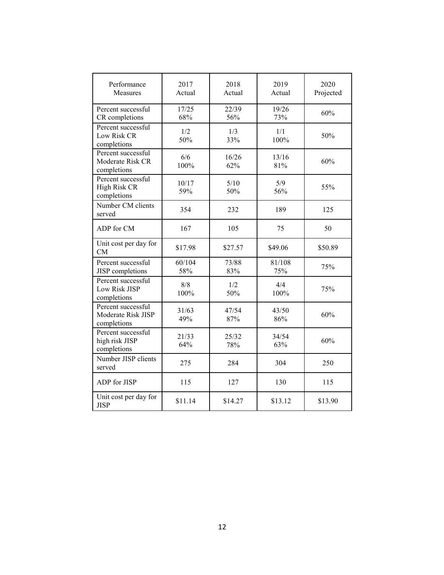| Performance<br>Measures                                 | 2017<br>Actual | 2018<br>Actual | 2019<br>Actual | 2020<br>Projected |
|---------------------------------------------------------|----------------|----------------|----------------|-------------------|
| Percent successful<br>CR completions                    | 17/25<br>68%   | 22/39<br>56%   | 19/26<br>73%   | 60%               |
| Percent successful<br>Low Risk CR<br>completions        | 1/2<br>50%     | 1/3<br>33%     | 1/1<br>100%    | 50%               |
| Percent successful<br>Moderate Risk CR<br>completions   | 6/6<br>100%    | 16/26<br>62%   | 13/16<br>81%   | 60%               |
| Percent successful<br>High Risk CR<br>completions       | 10/17<br>59%   | 5/10<br>50%    | 5/9<br>56%     | 55%               |
| Number CM clients<br>served                             | 354            | 232            | 189            | 125               |
| ADP for CM                                              | 167            | 105            | 75             | 50                |
| Unit cost per day for<br><b>CM</b>                      | \$17.98        | \$27.57        | \$49.06        | \$50.89           |
| Percent successful<br><b>JISP</b> completions           | 60/104<br>58%  | 73/88<br>83%   | 81/108<br>75%  | 75%               |
| Percent successful<br>Low Risk JISP<br>completions      | 8/8<br>100%    | 1/2<br>50%     | 4/4<br>100%    | 75%               |
| Percent successful<br>Moderate Risk JISP<br>completions | 31/63<br>49%   | 47/54<br>87%   | 43/50<br>86%   | 60%               |
| Percent successful<br>high risk JISP<br>completions     | 21/33<br>64%   | 25/32<br>78%   | 34/54<br>63%   | 60%               |
| Number JISP clients<br>served                           | 275            | 284            | 304            | 250               |
| ADP for JISP                                            | 115            | 127            | 130            | 115               |
| Unit cost per day for<br><b>JISP</b>                    | \$11.14        | \$14.27        | \$13.12        | \$13.90           |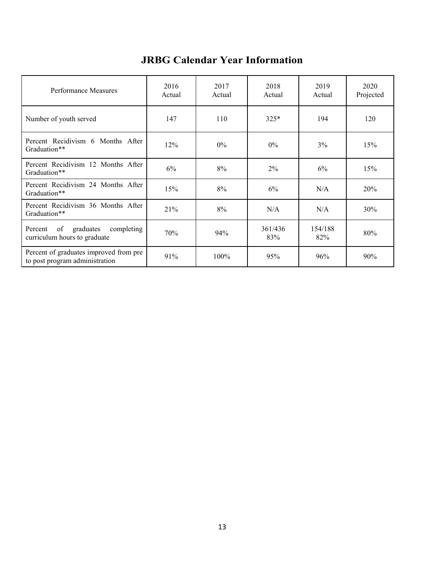| Performance Measures                                                     | 2016<br>Actual | 2017<br>Actual | 2018<br>Actual | 2019<br>Actual | 2020<br>Projected |
|--------------------------------------------------------------------------|----------------|----------------|----------------|----------------|-------------------|
| Number of youth served                                                   | 147            | 110            | $325*$         | 194            | 120               |
| Percent Recidivism 6 Months After<br>Graduation**                        | 12%            | $0\%$          | $0\%$          | 3%             | 15%               |
| Percent Recidivism 12 Months After<br>Graduation**                       | 6%             | 8%             | 2%             | 6%             | 15%               |
| Percent Recidivism 24 Months After<br>Graduation**                       | 15%            | 8%             | 6%             | N/A            | 20%               |
| Percent Recidivism 36 Months After<br>Graduation**                       | 21%            | 8%             | N/A            | N/A            | 30%               |
| graduates<br>of<br>completing<br>Percent<br>curriculum hours to graduate | 70%            | 94%            | 361/436<br>83% | 154/188<br>82% | 80%               |
| Percent of graduates improved from pre<br>to post program administration | 91%            | 100%           | 95%            | 96%            | 90%               |

## **JRBG Calendar Year Information**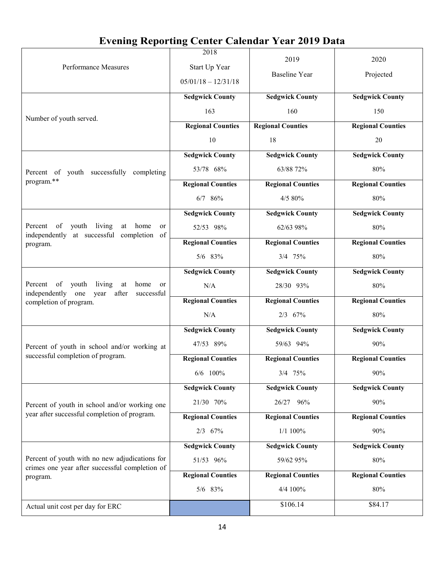# **Evening Reporting Center Calendar Year 2019 Data**

| Performance Measures                                                                               | 2018<br>Start Up Year                                                                                                                                                                                                                                                                                                                                                                                                                                                                                                                                                                                                                                                                                                                                                                                                                                                                                                                                                                                                                                                                                                                                                                                                                              | 2019                     | 2020                     |
|----------------------------------------------------------------------------------------------------|----------------------------------------------------------------------------------------------------------------------------------------------------------------------------------------------------------------------------------------------------------------------------------------------------------------------------------------------------------------------------------------------------------------------------------------------------------------------------------------------------------------------------------------------------------------------------------------------------------------------------------------------------------------------------------------------------------------------------------------------------------------------------------------------------------------------------------------------------------------------------------------------------------------------------------------------------------------------------------------------------------------------------------------------------------------------------------------------------------------------------------------------------------------------------------------------------------------------------------------------------|--------------------------|--------------------------|
|                                                                                                    | $05/01/18 - 12/31/18$                                                                                                                                                                                                                                                                                                                                                                                                                                                                                                                                                                                                                                                                                                                                                                                                                                                                                                                                                                                                                                                                                                                                                                                                                              |                          |                          |
|                                                                                                    | <b>Sedgwick County</b>                                                                                                                                                                                                                                                                                                                                                                                                                                                                                                                                                                                                                                                                                                                                                                                                                                                                                                                                                                                                                                                                                                                                                                                                                             | <b>Sedgwick County</b>   | <b>Sedgwick County</b>   |
| Number of youth served.                                                                            | 163                                                                                                                                                                                                                                                                                                                                                                                                                                                                                                                                                                                                                                                                                                                                                                                                                                                                                                                                                                                                                                                                                                                                                                                                                                                | 160                      | 150                      |
|                                                                                                    | <b>Regional Counties</b>                                                                                                                                                                                                                                                                                                                                                                                                                                                                                                                                                                                                                                                                                                                                                                                                                                                                                                                                                                                                                                                                                                                                                                                                                           | <b>Regional Counties</b> | <b>Regional Counties</b> |
|                                                                                                    | 10                                                                                                                                                                                                                                                                                                                                                                                                                                                                                                                                                                                                                                                                                                                                                                                                                                                                                                                                                                                                                                                                                                                                                                                                                                                 | 18                       | 20                       |
|                                                                                                    | <b>Sedgwick County</b>                                                                                                                                                                                                                                                                                                                                                                                                                                                                                                                                                                                                                                                                                                                                                                                                                                                                                                                                                                                                                                                                                                                                                                                                                             | <b>Sedgwick County</b>   | <b>Sedgwick County</b>   |
| Percent of youth successfully completing                                                           | 53/78 68%                                                                                                                                                                                                                                                                                                                                                                                                                                                                                                                                                                                                                                                                                                                                                                                                                                                                                                                                                                                                                                                                                                                                                                                                                                          | 63/88 72%                | 80%                      |
| program.**                                                                                         | <b>Regional Counties</b>                                                                                                                                                                                                                                                                                                                                                                                                                                                                                                                                                                                                                                                                                                                                                                                                                                                                                                                                                                                                                                                                                                                                                                                                                           | <b>Regional Counties</b> | <b>Regional Counties</b> |
|                                                                                                    | <b>Baseline Year</b><br>Projected<br>80%<br>6/7 86%<br>4/5 80%<br><b>Sedgwick County</b><br><b>Sedgwick County</b><br><b>Sedgwick County</b><br>80%<br>52/53 98%<br>62/63 98%<br><b>Regional Counties</b><br><b>Regional Counties</b><br><b>Regional Counties</b><br>5/6 83%<br>80%<br>3/4 75%<br><b>Sedgwick County</b><br><b>Sedgwick County</b><br><b>Sedgwick County</b><br>N/A<br>80%<br>28/30 93%<br><b>Regional Counties</b><br><b>Regional Counties</b><br><b>Regional Counties</b><br>N/A<br>2/3 67%<br>80%<br><b>Sedgwick County</b><br><b>Sedgwick County</b><br><b>Sedgwick County</b><br>47/53 89%<br>59/63 94%<br>90%<br><b>Regional Counties</b><br><b>Regional Counties</b><br><b>Regional Counties</b><br>90%<br>$6/6$ 100%<br>$3/4$ 75%<br><b>Sedgwick County</b><br><b>Sedgwick County</b><br><b>Sedgwick County</b><br>21/30 70%<br>26/27 96%<br>90%<br><b>Regional Counties</b><br><b>Regional Counties</b><br><b>Regional Counties</b><br>2/3 67%<br>1/1 100%<br>90%<br><b>Sedgwick County</b><br><b>Sedgwick County</b><br><b>Sedgwick County</b><br>51/53 96%<br>80%<br>59/62 95%<br><b>Regional Counties</b><br><b>Regional Counties</b><br><b>Regional Counties</b><br>4/4 100%<br>5/6 83%<br>80%<br>\$106.14<br>\$84.17 |                          |                          |
|                                                                                                    |                                                                                                                                                                                                                                                                                                                                                                                                                                                                                                                                                                                                                                                                                                                                                                                                                                                                                                                                                                                                                                                                                                                                                                                                                                                    |                          |                          |
| living<br>Percent<br>of<br>youth<br>home<br>at<br>or<br>independently at successful completion of  |                                                                                                                                                                                                                                                                                                                                                                                                                                                                                                                                                                                                                                                                                                                                                                                                                                                                                                                                                                                                                                                                                                                                                                                                                                                    |                          |                          |
| program.                                                                                           |                                                                                                                                                                                                                                                                                                                                                                                                                                                                                                                                                                                                                                                                                                                                                                                                                                                                                                                                                                                                                                                                                                                                                                                                                                                    |                          |                          |
|                                                                                                    |                                                                                                                                                                                                                                                                                                                                                                                                                                                                                                                                                                                                                                                                                                                                                                                                                                                                                                                                                                                                                                                                                                                                                                                                                                                    |                          |                          |
|                                                                                                    |                                                                                                                                                                                                                                                                                                                                                                                                                                                                                                                                                                                                                                                                                                                                                                                                                                                                                                                                                                                                                                                                                                                                                                                                                                                    |                          |                          |
| Percent of youth<br>living<br>home<br>at<br>or<br>independently one<br>after<br>year<br>successful |                                                                                                                                                                                                                                                                                                                                                                                                                                                                                                                                                                                                                                                                                                                                                                                                                                                                                                                                                                                                                                                                                                                                                                                                                                                    |                          |                          |
| completion of program.                                                                             |                                                                                                                                                                                                                                                                                                                                                                                                                                                                                                                                                                                                                                                                                                                                                                                                                                                                                                                                                                                                                                                                                                                                                                                                                                                    |                          |                          |
|                                                                                                    |                                                                                                                                                                                                                                                                                                                                                                                                                                                                                                                                                                                                                                                                                                                                                                                                                                                                                                                                                                                                                                                                                                                                                                                                                                                    |                          |                          |
|                                                                                                    |                                                                                                                                                                                                                                                                                                                                                                                                                                                                                                                                                                                                                                                                                                                                                                                                                                                                                                                                                                                                                                                                                                                                                                                                                                                    |                          |                          |
| Percent of youth in school and/or working at                                                       |                                                                                                                                                                                                                                                                                                                                                                                                                                                                                                                                                                                                                                                                                                                                                                                                                                                                                                                                                                                                                                                                                                                                                                                                                                                    |                          |                          |
| successful completion of program.                                                                  |                                                                                                                                                                                                                                                                                                                                                                                                                                                                                                                                                                                                                                                                                                                                                                                                                                                                                                                                                                                                                                                                                                                                                                                                                                                    |                          |                          |
|                                                                                                    |                                                                                                                                                                                                                                                                                                                                                                                                                                                                                                                                                                                                                                                                                                                                                                                                                                                                                                                                                                                                                                                                                                                                                                                                                                                    |                          |                          |
|                                                                                                    |                                                                                                                                                                                                                                                                                                                                                                                                                                                                                                                                                                                                                                                                                                                                                                                                                                                                                                                                                                                                                                                                                                                                                                                                                                                    |                          |                          |
| Percent of youth in school and/or working one                                                      |                                                                                                                                                                                                                                                                                                                                                                                                                                                                                                                                                                                                                                                                                                                                                                                                                                                                                                                                                                                                                                                                                                                                                                                                                                                    |                          |                          |
| year after successful completion of program.                                                       |                                                                                                                                                                                                                                                                                                                                                                                                                                                                                                                                                                                                                                                                                                                                                                                                                                                                                                                                                                                                                                                                                                                                                                                                                                                    |                          |                          |
|                                                                                                    |                                                                                                                                                                                                                                                                                                                                                                                                                                                                                                                                                                                                                                                                                                                                                                                                                                                                                                                                                                                                                                                                                                                                                                                                                                                    |                          |                          |
|                                                                                                    |                                                                                                                                                                                                                                                                                                                                                                                                                                                                                                                                                                                                                                                                                                                                                                                                                                                                                                                                                                                                                                                                                                                                                                                                                                                    |                          |                          |
| Percent of youth with no new adjudications for<br>crimes one year after successful completion of   |                                                                                                                                                                                                                                                                                                                                                                                                                                                                                                                                                                                                                                                                                                                                                                                                                                                                                                                                                                                                                                                                                                                                                                                                                                                    |                          |                          |
| program.                                                                                           |                                                                                                                                                                                                                                                                                                                                                                                                                                                                                                                                                                                                                                                                                                                                                                                                                                                                                                                                                                                                                                                                                                                                                                                                                                                    |                          |                          |
|                                                                                                    |                                                                                                                                                                                                                                                                                                                                                                                                                                                                                                                                                                                                                                                                                                                                                                                                                                                                                                                                                                                                                                                                                                                                                                                                                                                    |                          |                          |
| Actual unit cost per day for ERC                                                                   |                                                                                                                                                                                                                                                                                                                                                                                                                                                                                                                                                                                                                                                                                                                                                                                                                                                                                                                                                                                                                                                                                                                                                                                                                                                    |                          |                          |